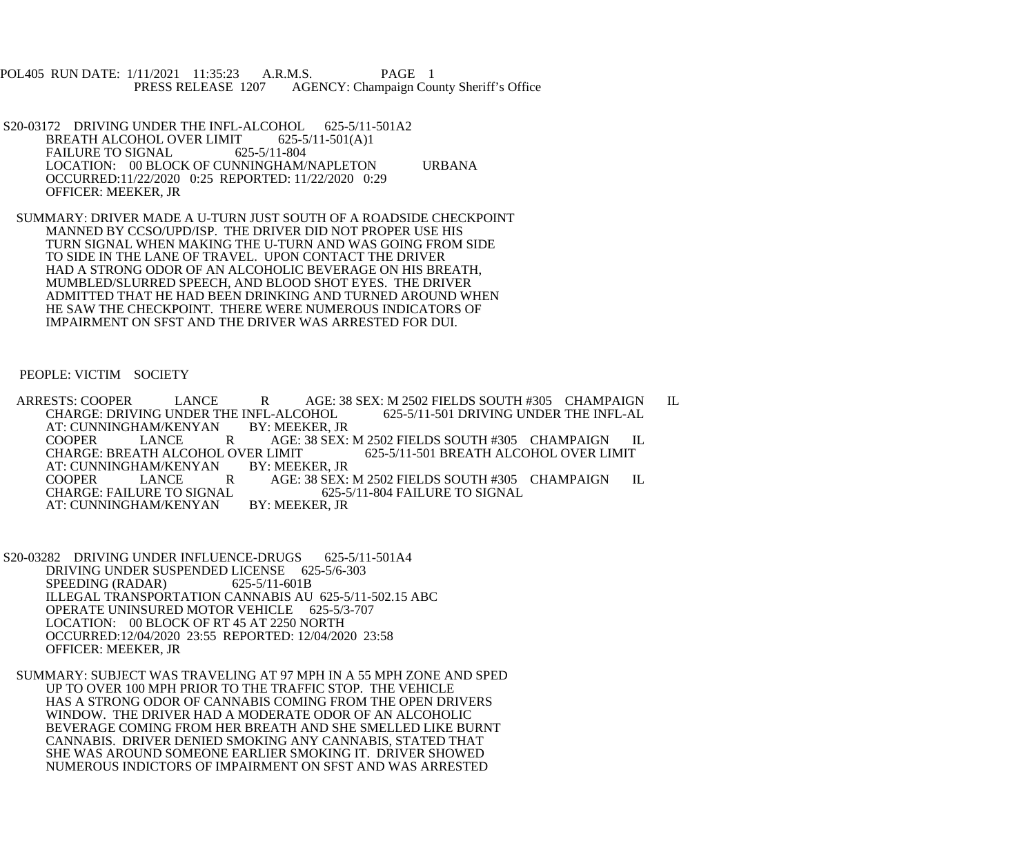POL405 RUN DATE: 1/11/2021 11:35:23 A.R.M.S. PAGE 1<br>PRESS RELEASE 1207 AGENCY: Champaign Cou AGENCY: Champaign County Sheriff's Office

- S20-03172 DRIVING UNDER THE INFL-ALCOHOL 625-5/11-501A2<br>BREATH ALCOHOL OVER LIMIT 625-5/11-501(A)1 BREATH ALCOHOL OVER LIMIT FAILURE TO SIGNAL 625-5/11-804 LOCATION: 00 BLOCK OF CUNNINGHAM/NAPLETON URBANA OCCURRED:11/22/2020 0:25 REPORTED: 11/22/2020 0:29 OFFICER: MEEKER, JR
- SUMMARY: DRIVER MADE A U-TURN JUST SOUTH OF A ROADSIDE CHECKPOINT MANNED BY CCSO/UPD/ISP. THE DRIVER DID NOT PROPER USE HIS TURN SIGNAL WHEN MAKING THE U-TURN AND WAS GOING FROM SIDE TO SIDE IN THE LANE OF TRAVEL. UPON CONTACT THE DRIVER HAD A STRONG ODOR OF AN ALCOHOLIC BEVERAGE ON HIS BREATH, MUMBLED/SLURRED SPEECH, AND BLOOD SHOT EYES. THE DRIVER ADMITTED THAT HE HAD BEEN DRINKING AND TURNED AROUND WHEN HE SAW THE CHECKPOINT. THERE WERE NUMEROUS INDICATORS OF IMPAIRMENT ON SFST AND THE DRIVER WAS ARRESTED FOR DUI.

## PEOPLE: VICTIM SOCIETY

ARRESTS: COOPER LANCE R AGE: 38 SEX: M 2502 FIELDS SOUTH #305 CHAMPAIGN IL CHARGE: DRIVING UNDER THE INFL-AL CHARGE: DRIVING UNDER THE INFL-ALCOHOL<br>AT: CUNNINGHAM/KENYAN BY: MEEKER. JR AT: CUNNINGHAM/KENYAN COOPER LANCE R AGE: 38 SEX: M 2502 FIELDS SOUTH #305 CHAMPAIGN IL CHARGE: BREATH ALCOHOL OVER LIMIT CHARGE: BREATH ALCOHOL OVER LIMIT<br>AT: CUNNINGHAM/KENYAN BY: MEEKER, JR AT: CUNNINGHAM/KENYAN BY: MEEKER, JR COOPER LANCE R AGE: 38 SEX: M 2502 FIELDS SOUTH #305 CHAMPAIGN IL<br>CHARGE: FAILURE TO SIGNAL 625-5/11-804 FAILURE TO SIGNAL 625-5/11-804 FAILURE TO SIGNAL BY: MEEKER. JR AT: CUNNINGHAM/KENYAN

- S20-03282 DRIVING UNDER INFLUENCE-DRUGS 625-5/11-501A4 DRIVING UNDER SUSPENDED LICENSE 625-5/6-303<br>SPEEDING (RADAR) 625-5/11-601B SPEEDING (RADAR) ILLEGAL TRANSPORTATION CANNABIS AU 625-5/11-502.15 ABC OPERATE UNINSURED MOTOR VEHICLE 625-5/3-707 LOCATION: 00 BLOCK OF RT 45 AT 2250 NORTH OCCURRED:12/04/2020 23:55 REPORTED: 12/04/2020 23:58 OFFICER: MEEKER, JR
- SUMMARY: SUBJECT WAS TRAVELING AT 97 MPH IN A 55 MPH ZONE AND SPED UP TO OVER 100 MPH PRIOR TO THE TRAFFIC STOP. THE VEHICLE HAS A STRONG ODOR OF CANNABIS COMING FROM THE OPEN DRIVERS WINDOW. THE DRIVER HAD A MODERATE ODOR OF AN ALCOHOLIC BEVERAGE COMING FROM HER BREATH AND SHE SMELLED LIKE BURNT CANNABIS. DRIVER DENIED SMOKING ANY CANNABIS, STATED THAT SHE WAS AROUND SOMEONE EARLIER SMOKING IT. DRIVER SHOWED NUMEROUS INDICTORS OF IMPAIRMENT ON SFST AND WAS ARRESTED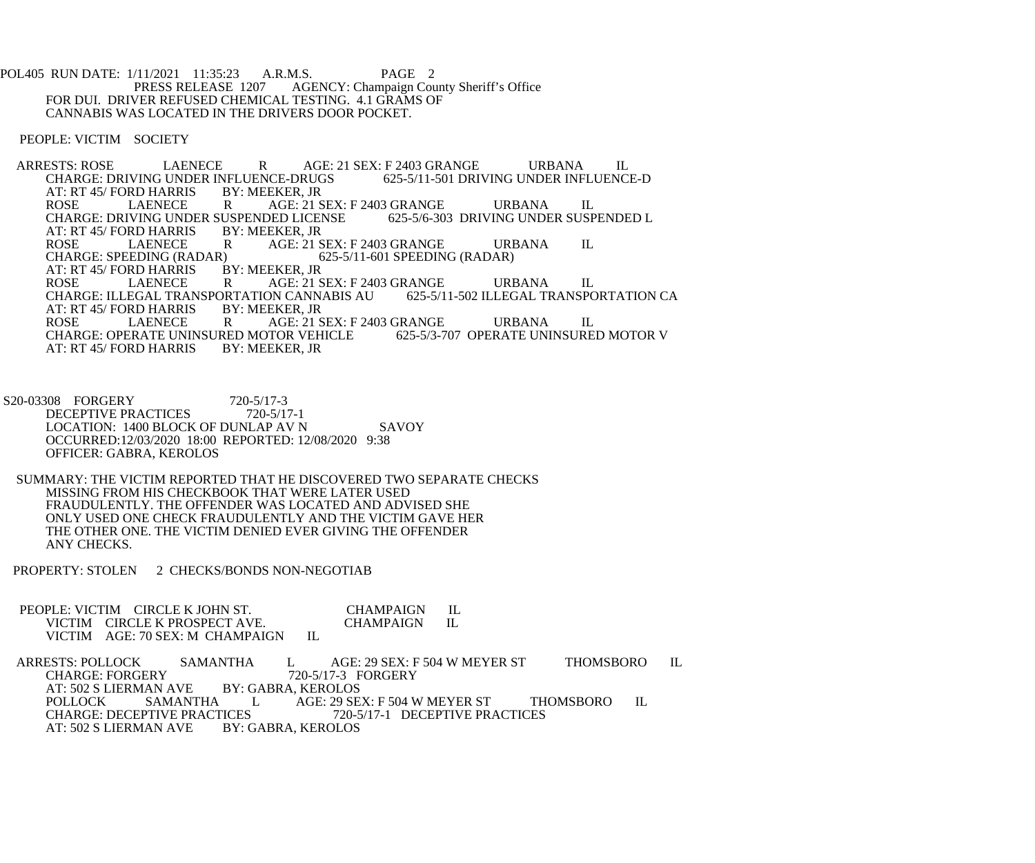POL405 RUN DATE: 1/11/2021 11:35:23 A.R.M.S. PAGE 2<br>PRESS RELEASE 1207 AGENCY: Champaign Cou AGENCY: Champaign County Sheriff's Office FOR DUI. DRIVER REFUSED CHEMICAL TESTING. 4.1 GRAMS OF CANNABIS WAS LOCATED IN THE DRIVERS DOOR POCKET.

PEOPLE: VICTIM SOCIETY

ARRESTS: ROSE LAENECE R AGE: 21 SEX: F 2403 GRANGE URBANA IL<br>CHARGE: DRIVING UNDER INFLUENCE-DRUGS 625-5/11-501 DRIVING UNDER INFLUENCE-D CHARGE: DRIVING UNDER INFLUENCE-DRUGS<br>AT: RT 45/FORD HARRIS BY: MEEKER, JR AT: RT 45/ FORD HARRIS BY<br>ROSE LAENECE R ROSE LAENECE R AGE: 21 SEX: F 2403 GRANGE URBANA IL<br>CHARGE: DRIVING UNDER SUSPENDED LICENSE 625-5/6-303 DRIVING UNDER SUSPENDED L CHARGE: DRIVING UNDER SUSPENDED LICENSE<br>AT: RT 45/FORD HARRIS BY: MEEKER. JR AT: RT 45/ FORD HARRIS BY<br>ROSE LAENECE R ROSE LAENECE R AGE: 21 SEX: F 2403 GRANGE URBANA IL<br>CHARGE: SPEEDING (RADAR) 625-5/11-601 SPEEDING (RADAR)  $(625-5/11-601$  SPEEDING (RADAR) BY: MEEKER, JR AT: RT 45/ FORD HARRIS BY<br>ROSE LAENECE R AGE: 21 SEX: F 2403 GRANGE URBANA IL<br>DN CANNABIS AU 625-5/11-502 ILLEGAL TRANSPORTATION CA CHARGE: ILLEGAL TRANSPORTATION CANNABIS AU AT: RT 45/ FORD HARRIS BY: MEEKER, JR AT: RT 45/ FORD HARRIS BY: MEEKER, JR R AGE: 21 SEX: F 2403 GRANGE URBANA IL<br>RED MOTOR VEHICLE 625-5/3-707 OPERATE UNINSURED MOTOR V CHARGE: OPERATE UNINSURED MOTOR VEHICLE<br>AT: RT 45/FORD HARRIS BY: MEEKER. JR AT: RT 45/ FORD HARRIS

S20-03308 FORGERY 720-5/17-3<br>DECEPTIVE PRACTICES 720-5/17-1 DECEPTIVE PRACTICES LOCATION: 1400 BLOCK OF DUNLAP AV N SAVOY OCCURRED:12/03/2020 18:00 REPORTED: 12/08/2020 9:38 OFFICER: GABRA, KEROLOS

 SUMMARY: THE VICTIM REPORTED THAT HE DISCOVERED TWO SEPARATE CHECKS MISSING FROM HIS CHECKBOOK THAT WERE LATER USED FRAUDULENTLY. THE OFFENDER WAS LOCATED AND ADVISED SHE ONLY USED ONE CHECK FRAUDULENTLY AND THE VICTIM GAVE HER THE OTHER ONE. THE VICTIM DENIED EVER GIVING THE OFFENDER ANY CHECKS.

PROPERTY: STOLEN 2 CHECKS/BONDS NON-NEGOTIAB

PEOPLE: VICTIM CIRCLE K JOHN ST. CHAMPAIGN IL VICTIM CIRCLE K PROSPECT AVE. CHAMPAIGN IL VICTIM CIRCLE K PROSPECT AVE.<br>VICTIM AGE: 70 SEX: M CHAMPAIGN IL VICTIM AGE: 70 SEX: M CHAMPAIGN

ARRESTS: POLLOCK SAMANTHA L AGE: 29 SEX: F 504 W MEYER ST THOMSBORO IL CHARGE: FORGERY 720-5/17-3 FORGERY CHARGE: FORGERY 720-5/17-3 F<br>AT: 502 S LIERMAN AVE BY: GABRA, KEROLOS AT: 502 S LIERMAN AVE<br>POLLOCK SAMANTHA POLLOCK SAMANTHA L AGE: 29 SEX: F 504 W MEYER ST THOMSBORO IL<br>CHARGE: DECEPTIVE PRACTICES 720-5/17-1 DECEPTIVE PRACTICES CHARGE: DECEPTIVE PRACTICES 720-5/17-1 DECEPTIVE PRACTICES<br>AT: 502 S LIERMAN AVE BY: GABRA. KEROLOS BY: GABRA, KEROLOS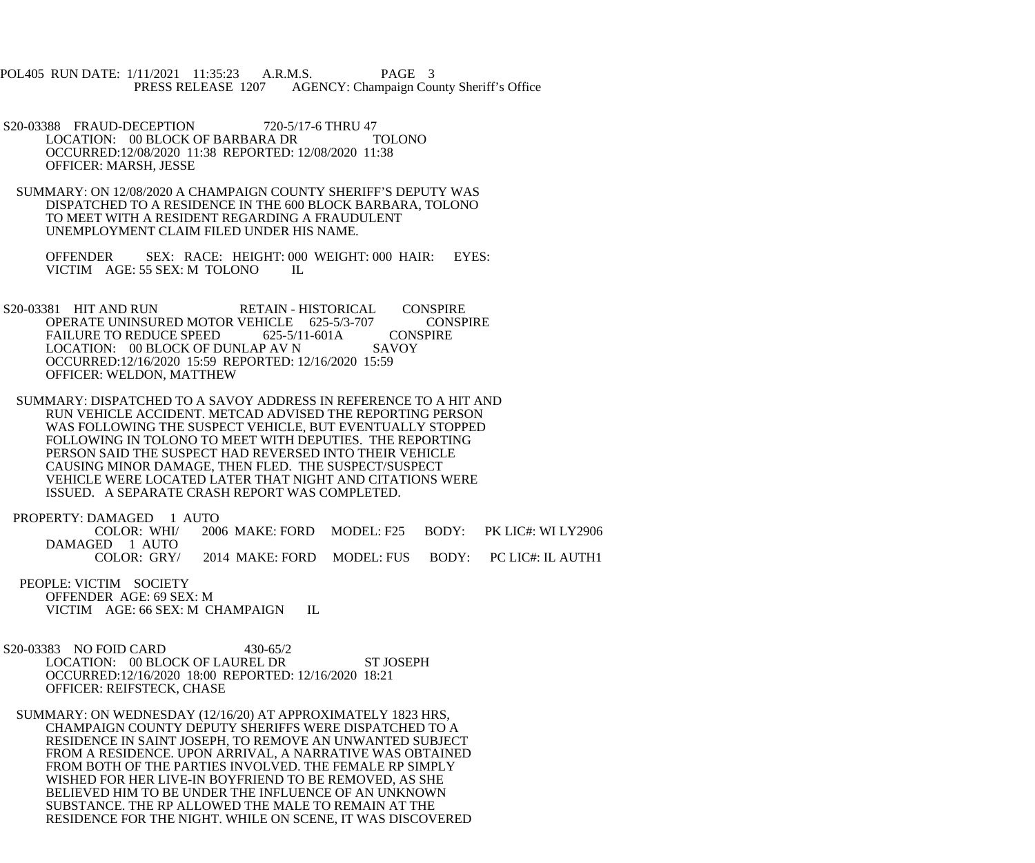POL405 RUN DATE: 1/11/2021 11:35:23 A.R.M.S. PAGE 3<br>PRESS RELEASE 1207 AGENCY: Champaign Cou AGENCY: Champaign County Sheriff's Office

S20-03388 FRAUD-DECEPTION 720-5/17-6 THRU 47<br>LOCATION: 00 BLOCK OF BARBARA DR TOLONO LOCATION: 00 BLOCK OF BARBARA DR OCCURRED:12/08/2020 11:38 REPORTED: 12/08/2020 11:38 OFFICER: MARSH, JESSE

 SUMMARY: ON 12/08/2020 A CHAMPAIGN COUNTY SHERIFF'S DEPUTY WAS DISPATCHED TO A RESIDENCE IN THE 600 BLOCK BARBARA, TOLONO TO MEET WITH A RESIDENT REGARDING A FRAUDULENT UNEMPLOYMENT CLAIM FILED UNDER HIS NAME.

 OFFENDER SEX: RACE: HEIGHT: 000 WEIGHT: 000 HAIR: EYES: VICTIM AGE: 55 SEX: M TOLONO IL

S20-03381 HIT AND RUN RETAIN - HISTORICAL CONSPIRE<br>OPERATE UNINSURED MOTOR VEHICLE 625-5/3-707 CONSPIRE OPERATE UNINSURED MOTOR VEHICLE 625-5/3-707 CONS<br>FAILURE TO REDUCE SPEED 625-5/11-601A CONSPIRE FAILURE TO REDUCE SPEED 625-5/11-601A CONS<br>LOCATION: 00 BLOCK OF DUNLAP AV N SAVOY LOCATION: 00 BLOCK OF DUNLAP AV N OCCURRED:12/16/2020 15:59 REPORTED: 12/16/2020 15:59 OFFICER: WELDON, MATTHEW

 SUMMARY: DISPATCHED TO A SAVOY ADDRESS IN REFERENCE TO A HIT AND RUN VEHICLE ACCIDENT. METCAD ADVISED THE REPORTING PERSON WAS FOLLOWING THE SUSPECT VEHICLE, BUT EVENTUALLY STOPPED FOLLOWING IN TOLONO TO MEET WITH DEPUTIES. THE REPORTING PERSON SAID THE SUSPECT HAD REVERSED INTO THEIR VEHICLE CAUSING MINOR DAMAGE, THEN FLED. THE SUSPECT/SUSPECT VEHICLE WERE LOCATED LATER THAT NIGHT AND CITATIONS WERE ISSUED. A SEPARATE CRASH REPORT WAS COMPLETED.

PROPERTY: DAMAGED 1 AUTO COLOR: WHI/ 2006 MAKE: FORD MODEL: F25 BODY: PK LIC#: WI LY2906 DAMAGED 1 AUTO<br>COLOR: GRY/ 2014 MAKE: FORD MODEL: FUS BODY: PC LIC#: IL AUTH1

 PEOPLE: VICTIM SOCIETY OFFENDER AGE: 69 SEX: M VICTIM AGE: 66 SEX: M CHAMPAIGN IL

S20-03383 NO FOID CARD 430-65/2 LOCATION: 00 BLOCK OF LAUREL DR ST JOSEPH OCCURRED:12/16/2020 18:00 REPORTED: 12/16/2020 18:21 OFFICER: REIFSTECK, CHASE

 SUMMARY: ON WEDNESDAY (12/16/20) AT APPROXIMATELY 1823 HRS, CHAMPAIGN COUNTY DEPUTY SHERIFFS WERE DISPATCHED TO A RESIDENCE IN SAINT JOSEPH, TO REMOVE AN UNWANTED SUBJECT FROM A RESIDENCE. UPON ARRIVAL, A NARRATIVE WAS OBTAINED FROM BOTH OF THE PARTIES INVOLVED. THE FEMALE RP SIMPLY WISHED FOR HER LIVE-IN BOYFRIEND TO BE REMOVED, AS SHE BELIEVED HIM TO BE UNDER THE INFLUENCE OF AN UNKNOWN SUBSTANCE. THE RP ALLOWED THE MALE TO REMAIN AT THE RESIDENCE FOR THE NIGHT. WHILE ON SCENE, IT WAS DISCOVERED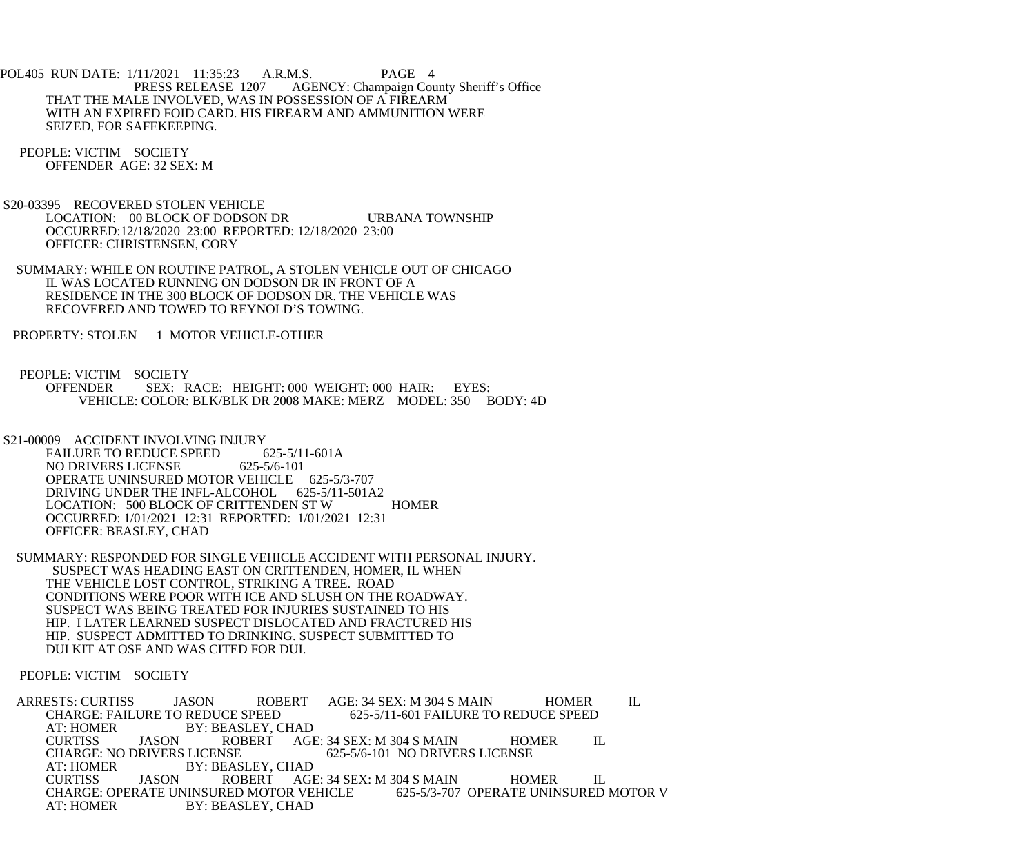POL405 RUN DATE: 1/11/2021 11:35:23 A.R.M.S. PAGE 4<br>PRESS RELEASE 1207 AGENCY: Champaign Cou AGENCY: Champaign County Sheriff's Office THAT THE MALE INVOLVED, WAS IN POSSESSION OF A FIREARM WITH AN EXPIRED FOID CARD. HIS FIREARM AND AMMUNITION WERE SEIZED, FOR SAFEKEEPING.

 PEOPLE: VICTIM SOCIETY OFFENDER AGE: 32 SEX: M

 S20-03395 RECOVERED STOLEN VEHICLE LOCATION: 00 BLOCK OF DODSON DR URBANA TOWNSHIP OCCURRED:12/18/2020 23:00 REPORTED: 12/18/2020 23:00 OFFICER: CHRISTENSEN, CORY

 SUMMARY: WHILE ON ROUTINE PATROL, A STOLEN VEHICLE OUT OF CHICAGO IL WAS LOCATED RUNNING ON DODSON DR IN FRONT OF A RESIDENCE IN THE 300 BLOCK OF DODSON DR. THE VEHICLE WAS RECOVERED AND TOWED TO REYNOLD'S TOWING.

PROPERTY: STOLEN 1 MOTOR VEHICLE-OTHER

 PEOPLE: VICTIM SOCIETY OFFENDER SEX: RACE: HEIGHT: 000 WEIGHT: 000 HAIR: EYES: VEHICLE: COLOR: BLK/BLK DR 2008 MAKE: MERZ MODEL: 350 BODY: 4D

 S21-00009 ACCIDENT INVOLVING INJURY FAILURE TO REDUCE SPEED 625-5/11-601A<br>NO DRIVERS LICENSE 625-5/6-101 NO DRIVERS LICENSE OPERATE UNINSURED MOTOR VEHICLE 625-5/3-707 DRIVING UNDER THE INFL-ALCOHOL 625-5/11-501A2 LOCATION: 500 BLOCK OF CRITTENDEN ST W HOMER OCCURRED: 1/01/2021 12:31 REPORTED: 1/01/2021 12:31 OFFICER: BEASLEY, CHAD

 SUMMARY: RESPONDED FOR SINGLE VEHICLE ACCIDENT WITH PERSONAL INJURY. SUSPECT WAS HEADING EAST ON CRITTENDEN, HOMER, IL WHEN THE VEHICLE LOST CONTROL, STRIKING A TREE. ROAD CONDITIONS WERE POOR WITH ICE AND SLUSH ON THE ROADWAY. SUSPECT WAS BEING TREATED FOR INJURIES SUSTAINED TO HIS HIP. I LATER LEARNED SUSPECT DISLOCATED AND FRACTURED HIS HIP. SUSPECT ADMITTED TO DRINKING. SUSPECT SUBMITTED TO DUI KIT AT OSF AND WAS CITED FOR DUI.

PEOPLE: VICTIM SOCIETY

ARRESTS: CURTISS JASON ROBERT AGE: 34 SEX: M 304 S MAIN HOMER IL<br>CHARGE: FAILURE TO REDUCE SPEED 625-5/11-601 FAILURE TO REDUCE SPEED CHARGE: FAILURE TO REDUCE SPEED 625-5/11-601 FAILURE TO REDUCE SPEED AT: HOMER BY: BEASLEY, CHAD<br>CURTISS JASON ROBERT AG AGE: 34 SEX: M 304 S MAIN HOMER IL<br>625-5/6-101 NO DRIVERS LICENSE CHARGE: NO DRIVERS LICENSE<br>AT: HOMER BY: BEAS AT: HOMER BY: BEASLEY, CHAD<br>CURTISS JASON ROBERT AGI ROBERT AGE: 34 SEX: M 304 S MAIN HOMER IL<br>RED MOTOR VEHICLE 625-5/3-707 OPERATE UNINSURED MOTOR V CHARGE: OPERATE UNINSURED MOTOR VEHICLE AT: HOMER BY: BEASLEY, CHAD